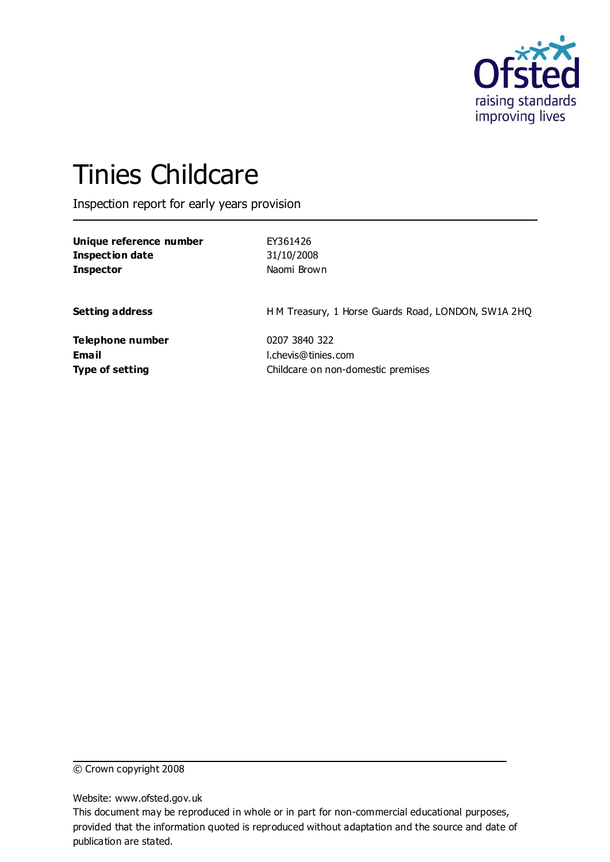

# Tinies Childcare

Inspection report for early years provision

| Unique reference number | EY361426                                            |
|-------------------------|-----------------------------------------------------|
| <b>Inspection date</b>  | 31/10/2008                                          |
| <b>Inspector</b>        | Naomi Brown                                         |
| <b>Setting address</b>  | H M Treasury, 1 Horse Guards Road, LONDON, SW1A 2HQ |
| Telephone number        | 0207 3840 322                                       |
| Email                   | l.chevis@tinies.com                                 |
| <b>Type of setting</b>  | Childcare on non-domestic premises                  |

© Crown copyright 2008

Website: www.ofsted.gov.uk

This document may be reproduced in whole or in part for non-commercial educational purposes, provided that the information quoted is reproduced without adaptation and the source and date of publication are stated.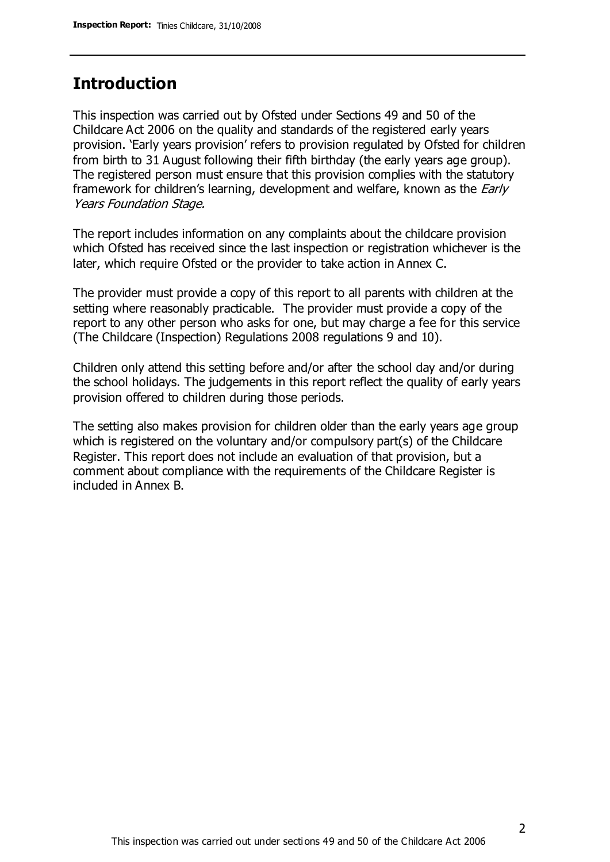### **Introduction**

This inspection was carried out by Ofsted under Sections 49 and 50 of the Childcare Act 2006 on the quality and standards of the registered early years provision. 'Early years provision' refers to provision regulated by Ofsted for children from birth to 31 August following their fifth birthday (the early years age group). The registered person must ensure that this provision complies with the statutory framework for children's learning, development and welfare, known as the *Early* Years Foundation Stage.

The report includes information on any complaints about the childcare provision which Ofsted has received since the last inspection or registration whichever is the later, which require Ofsted or the provider to take action in Annex C.

The provider must provide a copy of this report to all parents with children at the setting where reasonably practicable. The provider must provide a copy of the report to any other person who asks for one, but may charge a fee for this service (The Childcare (Inspection) Regulations 2008 regulations 9 and 10).

Children only attend this setting before and/or after the school day and/or during the school holidays. The judgements in this report reflect the quality of early years provision offered to children during those periods.

The setting also makes provision for children older than the early years age group which is registered on the voluntary and/or compulsory part(s) of the Childcare Register. This report does not include an evaluation of that provision, but a comment about compliance with the requirements of the Childcare Register is included in Annex B.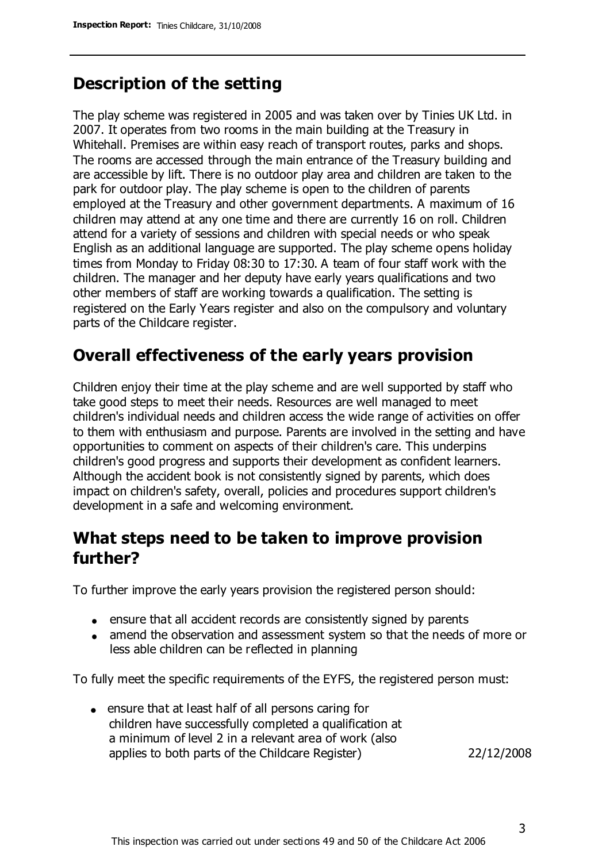### **Description of the setting**

The play scheme was registered in 2005 and was taken over by Tinies UK Ltd. in 2007. It operates from two rooms in the main building at the Treasury in Whitehall. Premises are within easy reach of transport routes, parks and shops. The rooms are accessed through the main entrance of the Treasury building and are accessible by lift. There is no outdoor play area and children are taken to the park for outdoor play. The play scheme is open to the children of parents employed at the Treasury and other government departments. A maximum of 16 children may attend at any one time and there are currently 16 on roll. Children attend for a variety of sessions and children with special needs or who speak English as an additional language are supported. The play scheme opens holiday times from Monday to Friday 08:30 to 17:30. A team of four staff work with the children. The manager and her deputy have early years qualifications and two other members of staff are working towards a qualification. The setting is registered on the Early Years register and also on the compulsory and voluntary parts of the Childcare register.

# **Overall effectiveness of the early years provision**

Children enjoy their time at the play scheme and are well supported by staff who take good steps to meet their needs. Resources are well managed to meet children's individual needs and children access the wide range of activities on offer to them with enthusiasm and purpose. Parents are involved in the setting and have opportunities to comment on aspects of their children's care. This underpins children's good progress and supports their development as confident learners. Although the accident book is not consistently signed by parents, which does impact on children's safety, overall, policies and procedures support children's development in a safe and welcoming environment.

### **What steps need to be taken to improve provision further?**

To further improve the early years provision the registered person should:

- ensure that all accident records are consistently signed by parents
- amend the observation and assessment system so that the needs of more or less able children can be reflected in planning

To fully meet the specific requirements of the EYFS, the registered person must:

ensure that at least half of all persons caring for children have successfully completed a qualification at a minimum of level 2 in a relevant area of work (also applies to both parts of the Childcare Register) 22/12/2008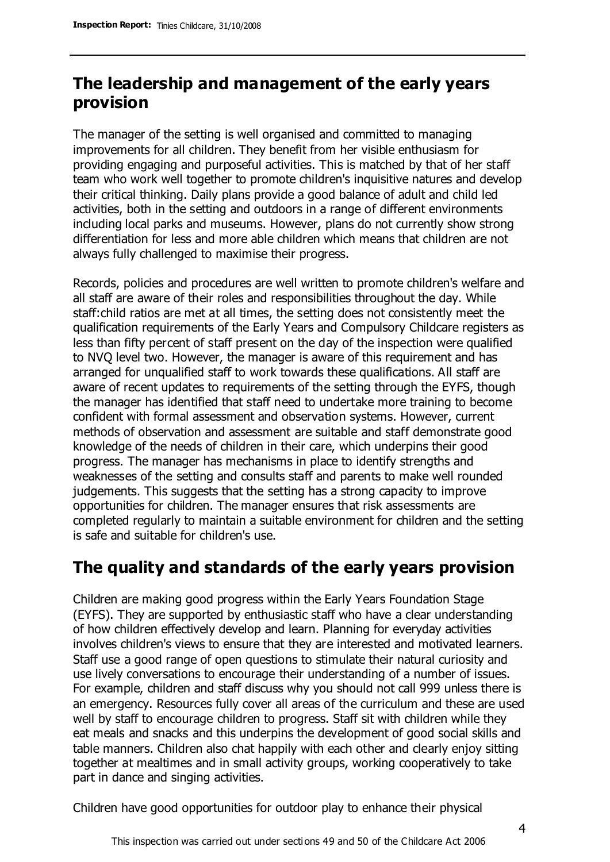# **The leadership and management of the early years provision**

The manager of the setting is well organised and committed to managing improvements for all children. They benefit from her visible enthusiasm for providing engaging and purposeful activities. This is matched by that of her staff team who work well together to promote children's inquisitive natures and develop their critical thinking. Daily plans provide a good balance of adult and child led activities, both in the setting and outdoors in a range of different environments including local parks and museums. However, plans do not currently show strong differentiation for less and more able children which means that children are not always fully challenged to maximise their progress.

Records, policies and procedures are well written to promote children's welfare and all staff are aware of their roles and responsibilities throughout the day. While staff:child ratios are met at all times, the setting does not consistently meet the qualification requirements of the Early Years and Compulsory Childcare registers as less than fifty percent of staff present on the day of the inspection were qualified to NVQ level two. However, the manager is aware of this requirement and has arranged for unqualified staff to work towards these qualifications. All staff are aware of recent updates to requirements of the setting through the EYFS, though the manager has identified that staff need to undertake more training to become confident with formal assessment and observation systems. However, current methods of observation and assessment are suitable and staff demonstrate good knowledge of the needs of children in their care, which underpins their good progress. The manager has mechanisms in place to identify strengths and weaknesses of the setting and consults staff and parents to make well rounded judgements. This suggests that the setting has a strong capacity to improve opportunities for children. The manager ensures that risk assessments are completed regularly to maintain a suitable environment for children and the setting is safe and suitable for children's use.

### **The quality and standards of the early years provision**

Children are making good progress within the Early Years Foundation Stage (EYFS). They are supported by enthusiastic staff who have a clear understanding of how children effectively develop and learn. Planning for everyday activities involves children's views to ensure that they are interested and motivated learners. Staff use a good range of open questions to stimulate their natural curiosity and use lively conversations to encourage their understanding of a number of issues. For example, children and staff discuss why you should not call 999 unless there is an emergency. Resources fully cover all areas of the curriculum and these are used well by staff to encourage children to progress. Staff sit with children while they eat meals and snacks and this underpins the development of good social skills and table manners. Children also chat happily with each other and clearly enjoy sitting together at mealtimes and in small activity groups, working cooperatively to take part in dance and singing activities.

Children have good opportunities for outdoor play to enhance their physical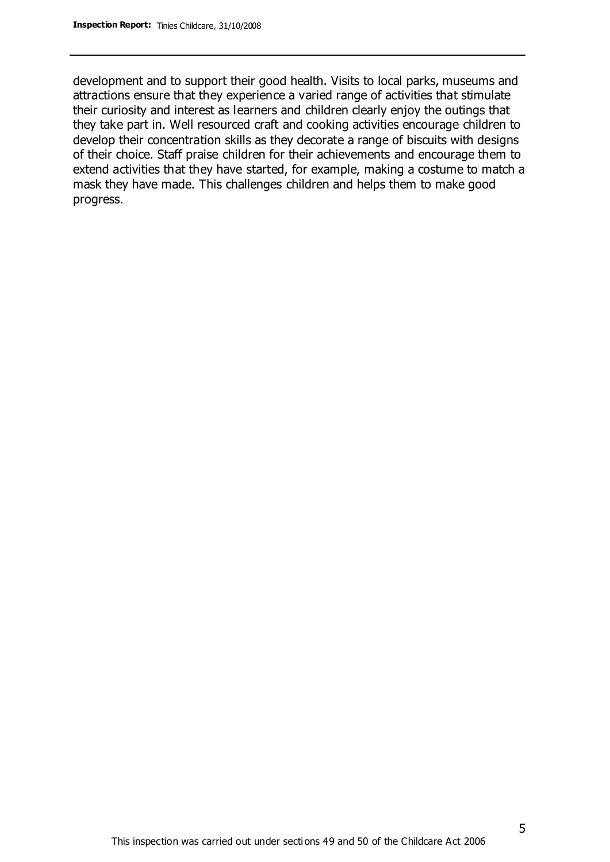development and to support their good health. Visits to local parks, museums and attractions ensure that they experience a varied range of activities that stimulate their curiosity and interest as learners and children clearly enjoy the outings that they take part in. Well resourced craft and cooking activities encourage children to develop their concentration skills as they decorate a range of biscuits with designs of their choice. Staff praise children for their achievements and encourage them to extend activities that they have started, for example, making a costume to match a mask they have made. This challenges children and helps them to make good progress.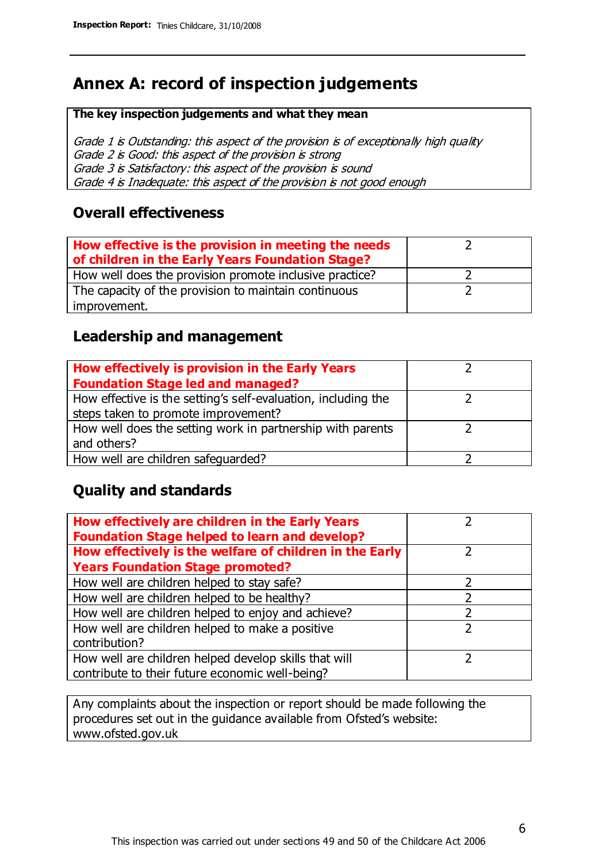# **Annex A: record of inspection judgements**

#### **The key inspection judgements and what they mean**

Grade 1 is Outstanding: this aspect of the provision is of exceptionally high quality Grade 2 is Good: this aspect of the provision is strong Grade 3 is Satisfactory: this aspect of the provision is sound Grade 4 is Inadequate: this aspect of the provision is not good enough

### **Overall effectiveness**

| How effective is the provision in meeting the needs<br>of children in the Early Years Foundation Stage? |  |
|---------------------------------------------------------------------------------------------------------|--|
| How well does the provision promote inclusive practice?                                                 |  |
| The capacity of the provision to maintain continuous                                                    |  |
| improvement.                                                                                            |  |

### **Leadership and management**

| How effectively is provision in the Early Years               |  |
|---------------------------------------------------------------|--|
| <b>Foundation Stage led and managed?</b>                      |  |
| How effective is the setting's self-evaluation, including the |  |
| steps taken to promote improvement?                           |  |
| How well does the setting work in partnership with parents    |  |
| and others?                                                   |  |
| How well are children safequarded?                            |  |

### **Quality and standards**

| How effectively are children in the Early Years<br><b>Foundation Stage helped to learn and develop?</b> |               |
|---------------------------------------------------------------------------------------------------------|---------------|
| How effectively is the welfare of children in the Early                                                 | ר             |
| <b>Years Foundation Stage promoted?</b>                                                                 |               |
| How well are children helped to stay safe?                                                              |               |
| How well are children helped to be healthy?                                                             |               |
| How well are children helped to enjoy and achieve?                                                      |               |
| How well are children helped to make a positive                                                         | $\mathcal{P}$ |
| contribution?                                                                                           |               |
| How well are children helped develop skills that will                                                   |               |
| contribute to their future economic well-being?                                                         |               |

Any complaints about the inspection or report should be made following the procedures set out in the guidance available from Ofsted's website: www.ofsted.gov.uk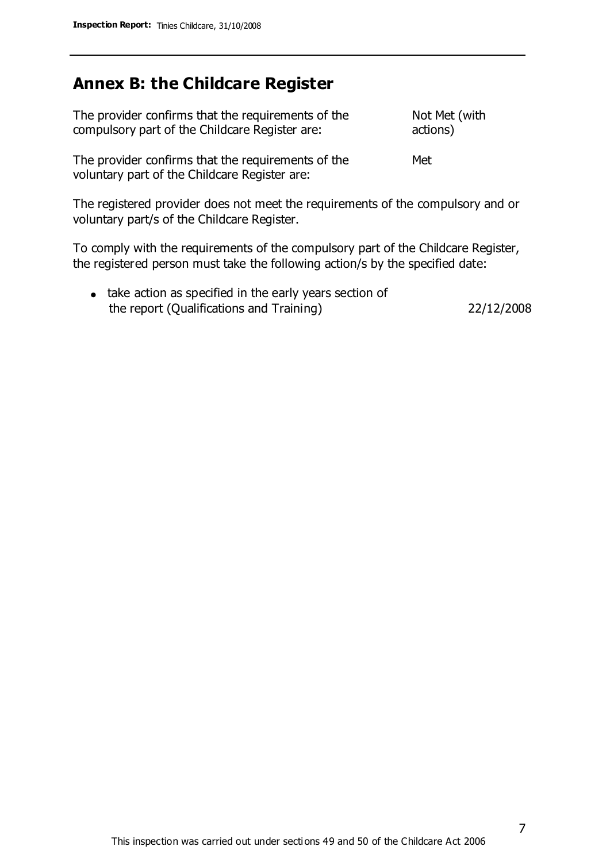### **Annex B: the Childcare Register**

| The provider confirms that the requirements of the<br>compulsory part of the Childcare Register are:                           | Not Met (with<br>actions) |
|--------------------------------------------------------------------------------------------------------------------------------|---------------------------|
| The provider confirms that the requirements of the<br>voluntary part of the Childcare Register are:                            | Met                       |
| The registered provider does not meet the requirements of the compulsory and or<br>voluntary part/s of the Childcare Register. |                           |

To comply with the requirements of the compulsory part of the Childcare Register, the registered person must take the following action/s by the specified date:

• take action as specified in the early years section of the report (Qualifications and Training) 22/12/2008